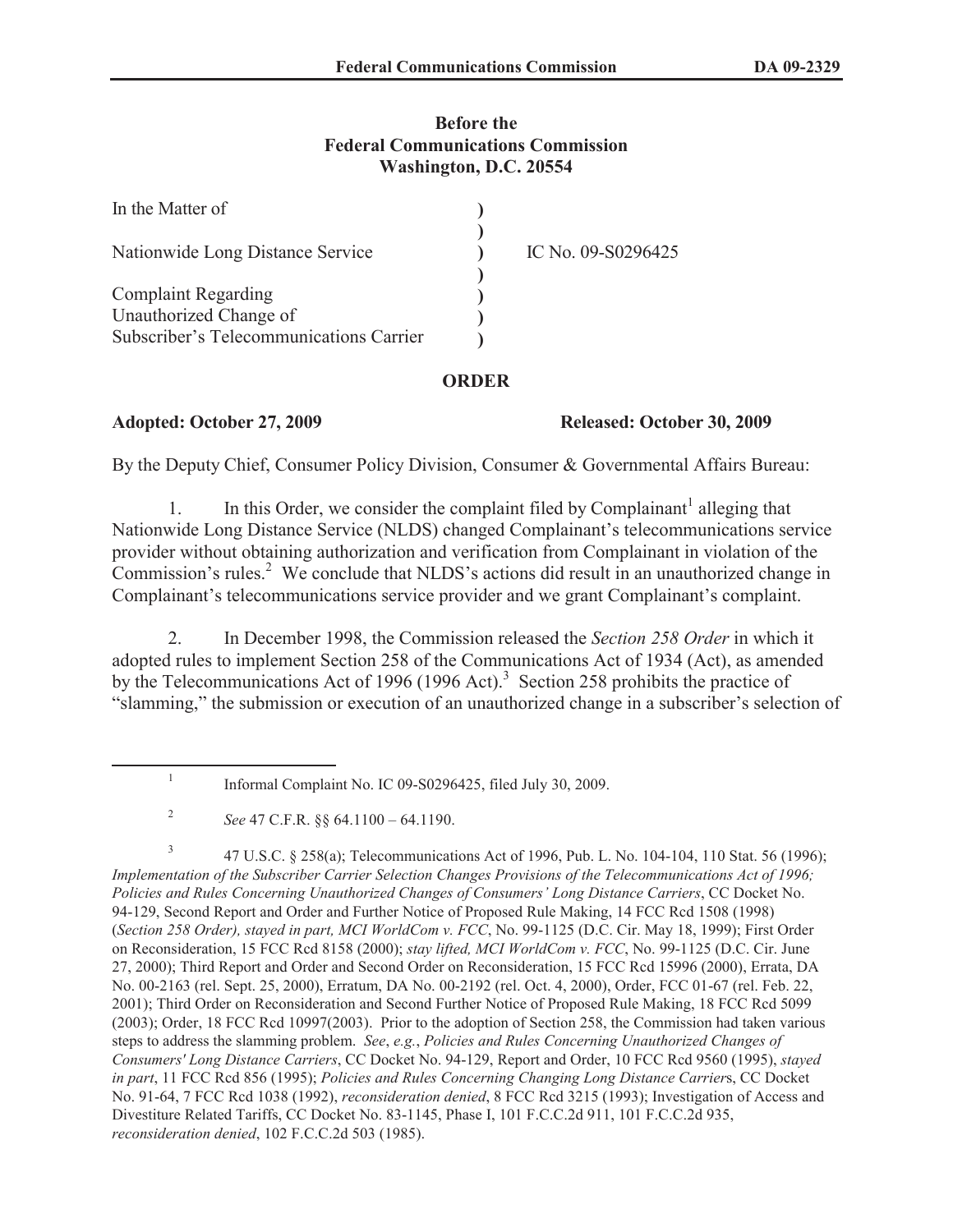# **Before the Federal Communications Commission Washington, D.C. 20554**

| In the Matter of                                     |                    |
|------------------------------------------------------|--------------------|
| Nationwide Long Distance Service                     | IC No. 09-S0296425 |
| <b>Complaint Regarding</b><br>Unauthorized Change of |                    |
| Subscriber's Telecommunications Carrier              |                    |

# **ORDER**

### **Adopted: October 27, 2009 Released: October 30, 2009**

By the Deputy Chief, Consumer Policy Division, Consumer & Governmental Affairs Bureau:

1. In this Order, we consider the complaint filed by Complainant<sup>1</sup> alleging that Nationwide Long Distance Service (NLDS) changed Complainant's telecommunications service provider without obtaining authorization and verification from Complainant in violation of the  $\overline{r}$  Commission's rules.<sup>2</sup> We conclude that NLDS's actions did result in an unauthorized change in Complainant's telecommunications service provider and we grant Complainant's complaint.

2. In December 1998, the Commission released the *Section 258 Order* in which it adopted rules to implement Section 258 of the Communications Act of 1934 (Act), as amended by the Telecommunications Act of 1996 (1996 Act).<sup>3</sup> Section 258 prohibits the practice of "slamming," the submission or execution of an unauthorized change in a subscriber's selection of

3 47 U.S.C. § 258(a); Telecommunications Act of 1996, Pub. L. No. 104-104, 110 Stat. 56 (1996); *Implementation of the Subscriber Carrier Selection Changes Provisions of the Telecommunications Act of 1996; Policies and Rules Concerning Unauthorized Changes of Consumers' Long Distance Carriers*, CC Docket No. 94-129, Second Report and Order and Further Notice of Proposed Rule Making, 14 FCC Rcd 1508 (1998) (*Section 258 Order), stayed in part, MCI WorldCom v. FCC*, No. 99-1125 (D.C. Cir. May 18, 1999); First Order on Reconsideration, 15 FCC Rcd 8158 (2000); *stay lifted, MCI WorldCom v. FCC*, No. 99-1125 (D.C. Cir. June 27, 2000); Third Report and Order and Second Order on Reconsideration, 15 FCC Rcd 15996 (2000), Errata, DA No. 00-2163 (rel. Sept. 25, 2000), Erratum, DA No. 00-2192 (rel. Oct. 4, 2000), Order, FCC 01-67 (rel. Feb. 22, 2001); Third Order on Reconsideration and Second Further Notice of Proposed Rule Making, 18 FCC Rcd 5099 (2003); Order, 18 FCC Rcd 10997(2003). Prior to the adoption of Section 258, the Commission had taken various steps to address the slamming problem. *See*, *e.g.*, *Policies and Rules Concerning Unauthorized Changes of Consumers' Long Distance Carriers*, CC Docket No. 94-129, Report and Order, 10 FCC Rcd 9560 (1995), *stayed in part*, 11 FCC Rcd 856 (1995); *Policies and Rules Concerning Changing Long Distance Carrier*s, CC Docket No. 91-64, 7 FCC Rcd 1038 (1992), *reconsideration denied*, 8 FCC Rcd 3215 (1993); Investigation of Access and Divestiture Related Tariffs, CC Docket No. 83-1145, Phase I, 101 F.C.C.2d 911, 101 F.C.C.2d 935, *reconsideration denied*, 102 F.C.C.2d 503 (1985).

<sup>1</sup> Informal Complaint No. IC 09-S0296425, filed July 30, 2009.

<sup>2</sup> *See* 47 C.F.R. §§ 64.1100 – 64.1190.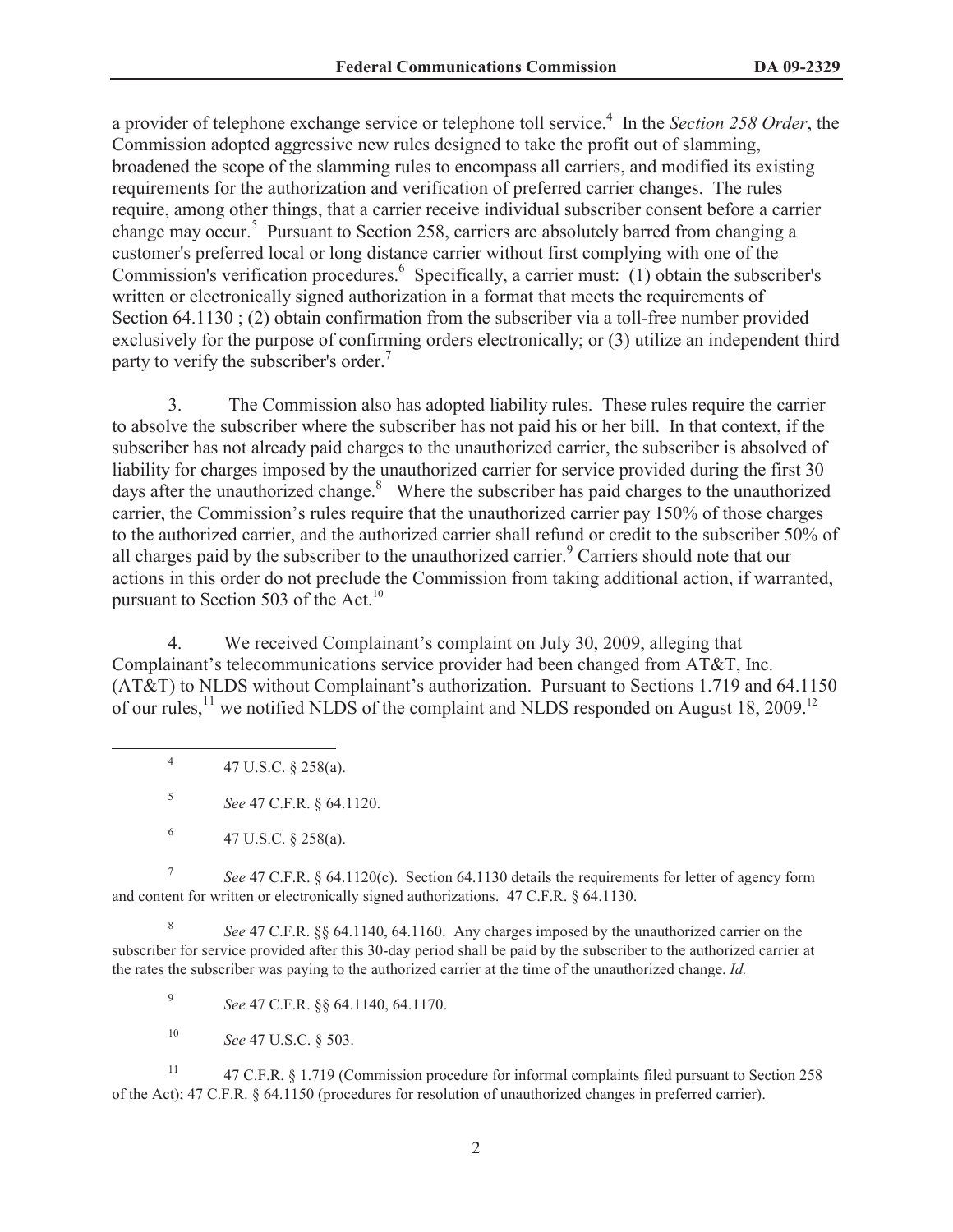a provider of telephone exchange service or telephone toll service.<sup>4</sup> In the *Section 258 Order*, the Commission adopted aggressive new rules designed to take the profit out of slamming, broadened the scope of the slamming rules to encompass all carriers, and modified its existing requirements for the authorization and verification of preferred carrier changes. The rules require, among other things, that a carrier receive individual subscriber consent before a carrier change may occur.<sup>5</sup> Pursuant to Section 258, carriers are absolutely barred from changing a customer's preferred local or long distance carrier without first complying with one of the Commission's verification procedures.<sup>6</sup> Specifically, a carrier must: (1) obtain the subscriber's written or electronically signed authorization in a format that meets the requirements of Section 64.1130 ; (2) obtain confirmation from the subscriber via a toll-free number provided exclusively for the purpose of confirming orders electronically; or (3) utilize an independent third party to verify the subscriber's order.<sup>7</sup>

3. The Commission also has adopted liability rules. These rules require the carrier to absolve the subscriber where the subscriber has not paid his or her bill. In that context, if the subscriber has not already paid charges to the unauthorized carrier, the subscriber is absolved of liability for charges imposed by the unauthorized carrier for service provided during the first 30 days after the unauthorized change. $8\text{ }$  Where the subscriber has paid charges to the unauthorized carrier, the Commission's rules require that the unauthorized carrier pay 150% of those charges to the authorized carrier, and the authorized carrier shall refund or credit to the subscriber 50% of all charges paid by the subscriber to the unauthorized carrier.<sup>9</sup> Carriers should note that our actions in this order do not preclude the Commission from taking additional action, if warranted, pursuant to Section 503 of the Act.<sup>10</sup>

4. We received Complainant's complaint on July 30, 2009, alleging that Complainant's telecommunications service provider had been changed from AT&T, Inc. (AT&T) to NLDS without Complainant's authorization. Pursuant to Sections 1.719 and 64.1150 of our rules,  $^{11}$  we notified NLDS of the complaint and NLDS responded on August 18, 2009.<sup>12</sup>

4 47 U.S.C. § 258(a).

5 *See* 47 C.F.R. § 64.1120.

7 *See* 47 C.F.R. § 64.1120(c). Section 64.1130 details the requirements for letter of agency form and content for written or electronically signed authorizations. 47 C.F.R. § 64.1130.

8 *See* 47 C.F.R. §§ 64.1140, 64.1160. Any charges imposed by the unauthorized carrier on the subscriber for service provided after this 30-day period shall be paid by the subscriber to the authorized carrier at the rates the subscriber was paying to the authorized carrier at the time of the unauthorized change. *Id.*

9 *See* 47 C.F.R. §§ 64.1140, 64.1170.

<sup>10</sup> *See* 47 U.S.C. § 503.

<sup>11</sup> 47 C.F.R. § 1.719 (Commission procedure for informal complaints filed pursuant to Section 258 of the Act); 47 C.F.R. § 64.1150 (procedures for resolution of unauthorized changes in preferred carrier).

<sup>6</sup> 47 U.S.C. § 258(a).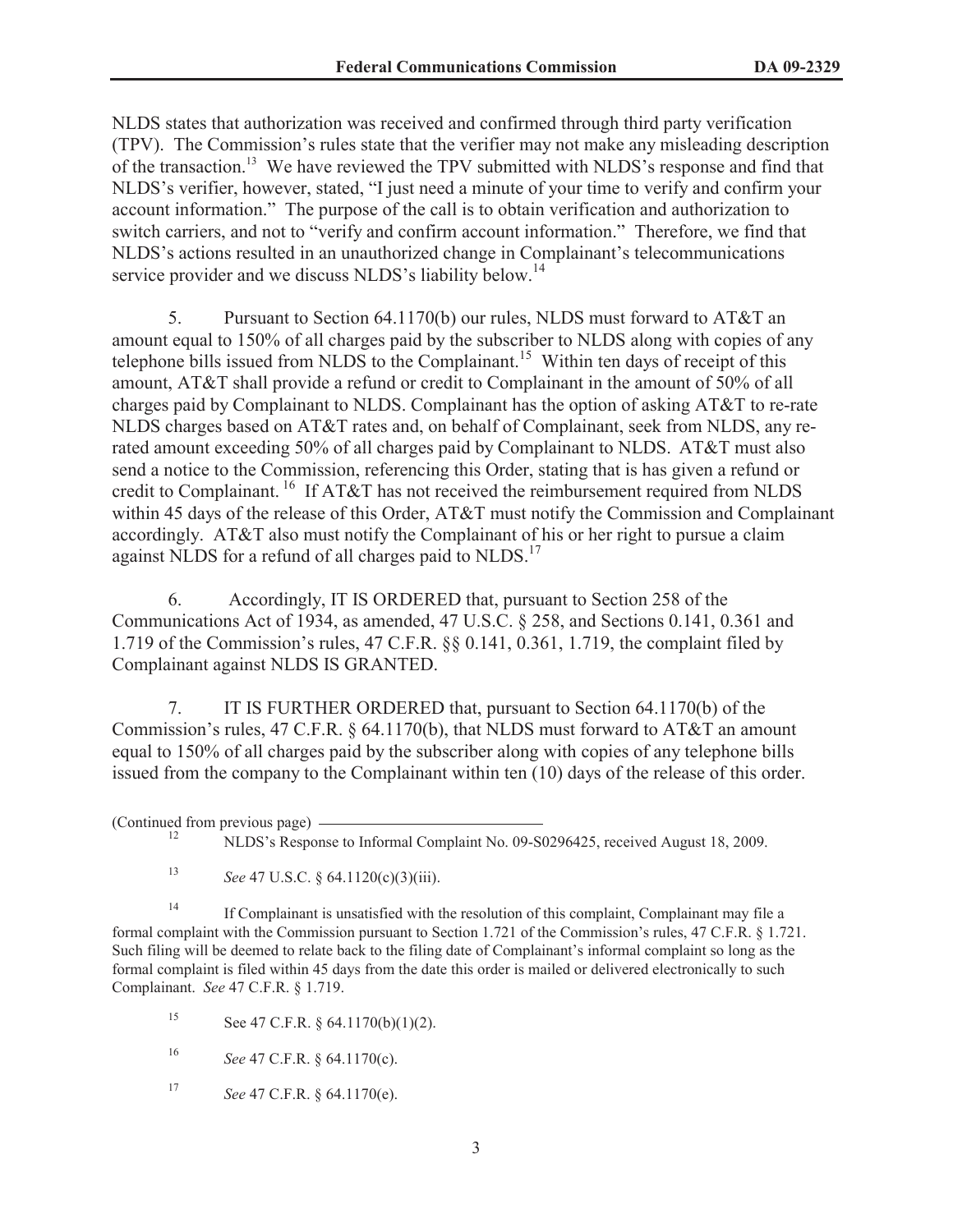NLDS states that authorization was received and confirmed through third party verification (TPV). The Commission's rules state that the verifier may not make any misleading description of the transaction.<sup>13</sup> We have reviewed the TPV submitted with NLDS's response and find that NLDS's verifier, however, stated, "I just need a minute of your time to verify and confirm your account information." The purpose of the call is to obtain verification and authorization to switch carriers, and not to "verify and confirm account information." Therefore, we find that NLDS's actions resulted in an unauthorized change in Complainant's telecommunications service provider and we discuss NLDS's liability below.<sup>14</sup>

5. Pursuant to Section 64.1170(b) our rules, NLDS must forward to AT&T an amount equal to 150% of all charges paid by the subscriber to NLDS along with copies of any telephone bills issued from NLDS to the Complainant.<sup>15</sup> Within ten days of receipt of this amount, AT&T shall provide a refund or credit to Complainant in the amount of 50% of all charges paid by Complainant to NLDS. Complainant has the option of asking AT&T to re-rate NLDS charges based on AT&T rates and, on behalf of Complainant, seek from NLDS, any rerated amount exceeding 50% of all charges paid by Complainant to NLDS. AT&T must also send a notice to the Commission, referencing this Order, stating that is has given a refund or credit to Complainant. <sup>16</sup> If AT&T has not received the reimbursement required from NLDS within 45 days of the release of this Order, AT&T must notify the Commission and Complainant accordingly. AT&T also must notify the Complainant of his or her right to pursue a claim against NLDS for a refund of all charges paid to NLDS.<sup>17</sup>

6. Accordingly, IT IS ORDERED that, pursuant to Section 258 of the Communications Act of 1934, as amended, 47 U.S.C. § 258, and Sections 0.141, 0.361 and 1.719 of the Commission's rules, 47 C.F.R. §§ 0.141, 0.361, 1.719, the complaint filed by Complainant against NLDS IS GRANTED.

7. IT IS FURTHER ORDERED that, pursuant to Section 64.1170(b) of the Commission's rules, 47 C.F.R.  $\frac{64.1170(b)}{b}$ , that NLDS must forward to AT&T an amount equal to 150% of all charges paid by the subscriber along with copies of any telephone bills issued from the company to the Complainant within ten (10) days of the release of this order.

(Continued from previous page)

<sup>13</sup> *See* 47 U.S.C. § 64.1120(c)(3)(iii).

<sup>14</sup> If Complainant is unsatisfied with the resolution of this complaint, Complainant may file a formal complaint with the Commission pursuant to Section 1.721 of the Commission's rules, 47 C.F.R. § 1.721. Such filing will be deemed to relate back to the filing date of Complainant's informal complaint so long as the formal complaint is filed within 45 days from the date this order is mailed or delivered electronically to such Complainant. *See* 47 C.F.R. § 1.719.

15 See 47 C.F.R.  $\S$  64.1170(b)(1)(2).

<sup>16</sup> *See* 47 C.F.R. § 64.1170(c).

<sup>17</sup> *See* 47 C.F.R. § 64.1170(e).

<sup>12</sup> NLDS's Response to Informal Complaint No. 09-S0296425, received August 18, 2009.